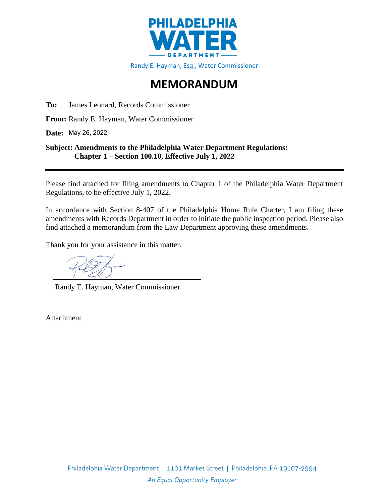

## **MEMORANDUM**

**To:** James Leonard, Records Commissioner

**From:** Randy E. Hayman, Water Commissioner

**Date:**  May 26, 2022

### **Subject: Amendments to the Philadelphia Water Department Regulations: Chapter 1 – Section 100.10, Effective July 1, 2022**

Please find attached for filing amendments to Chapter 1 of the Philadelphia Water Department Regulations, to be effective July 1, 2022.

In accordance with Section 8-407 of the Philadelphia Home Rule Charter, I am filing these amendments with Records Department in order to initiate the public inspection period. Please also find attached a memorandum from the Law Department approving these amendments.

Thank you for your assistance in this matter.

Randy E. Hayman, Water Commissioner

Attachment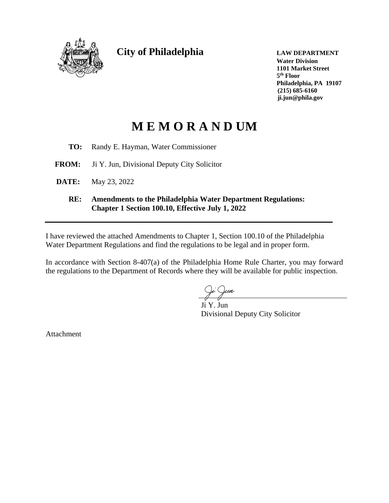

**City of Philadelphia LAW DEPARTMENT**

**Water Division 1101 Market Street 5 th Floor Philadelphia, PA 19107 (215) 685-6160 ji.jun@phila.gov**

# **M E M O R A N D UM**

- **TO:** Randy E. Hayman, Water Commissioner
- **FROM:** Ji Y. Jun, Divisional Deputy City Solicitor
- **DATE:** May 23, 2022
	- **RE: Amendments to the Philadelphia Water Department Regulations: Chapter 1 Section 100.10, Effective July 1, 2022**

I have reviewed the attached Amendments to Chapter 1, Section 100.10 of the Philadelphia Water Department Regulations and find the regulations to be legal and in proper form.

In accordance with Section 8-407(a) of the Philadelphia Home Rule Charter, you may forward the regulations to the Department of Records where they will be available for public inspection.

un

Ji Y. Jun Divisional Deputy City Solicitor

Attachment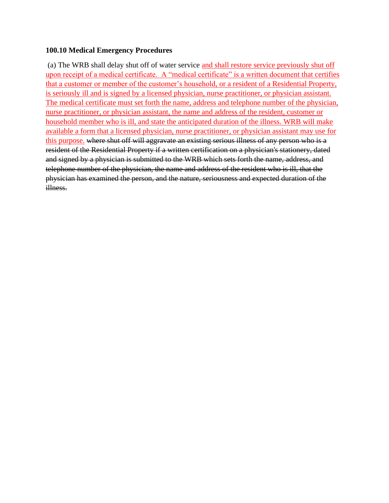### **100.10 Medical Emergency Procedures**

(a) The WRB shall delay shut off of water service and shall restore service previously shut off upon receipt of a medical certificate. A "medical certificate" is a written document that certifies that a customer or member of the customer's household, or a resident of a Residential Property, is seriously ill and is signed by a licensed physician, nurse practitioner, or physician assistant. The medical certificate must set forth the name, address and telephone number of the physician, nurse practitioner, or physician assistant, the name and address of the resident, customer or household member who is ill, and state the anticipated duration of the illness. WRB will make available a form that a licensed physician, nurse practitioner, or physician assistant may use for this purpose. where shut off will aggravate an existing serious illness of any person who is a resident of the Residential Property if a written certification on a physician's stationery, dated and signed by a physician is submitted to the WRB which sets forth the name, address, and telephone number of the physician, the name and address of the resident who is ill, that the physician has examined the person, and the nature, seriousness and expected duration of the illness.